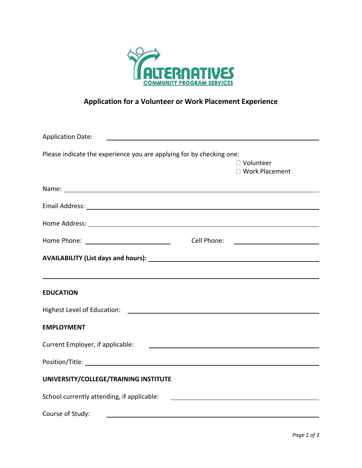

## **Application for a Volunteer or Work Placement Experience**

| <b>Application Date:</b>                                                         |             |                                                                                                                      |  |
|----------------------------------------------------------------------------------|-------------|----------------------------------------------------------------------------------------------------------------------|--|
| Please indicate the experience you are applying for by checking one:             |             |                                                                                                                      |  |
|                                                                                  |             | □ Volunteer                                                                                                          |  |
|                                                                                  |             | □ Work Placement                                                                                                     |  |
|                                                                                  |             |                                                                                                                      |  |
|                                                                                  |             |                                                                                                                      |  |
|                                                                                  |             |                                                                                                                      |  |
|                                                                                  | Cell Phone: | <u> 1989 - Johann Barbara, martxa alemaniar a</u>                                                                    |  |
|                                                                                  |             |                                                                                                                      |  |
| ,我们也不会有什么。""我们的人,我们也不会有什么?""我们的人,我们也不会有什么?""我们的人,我们也不会有什么?""我们的人,我们也不会有什么?""我们的人 |             |                                                                                                                      |  |
| <b>EDUCATION</b>                                                                 |             |                                                                                                                      |  |
|                                                                                  |             |                                                                                                                      |  |
| <b>EMPLOYMENT</b>                                                                |             |                                                                                                                      |  |
| Current Employer, if applicable:                                                 |             | <u> Alexandria de la contrada de la contrada de la contrada de la contrada de la contrada de la contrada de la c</u> |  |
|                                                                                  |             |                                                                                                                      |  |
| UNIVERSITY/COLLEGE/TRAINING INSTITUTE                                            |             |                                                                                                                      |  |
| School currently attending, if applicable:                                       |             |                                                                                                                      |  |
| Course of Study:<br><u> 1989 - Johann Stoff, amerikansk politiker (* 1908)</u>   |             |                                                                                                                      |  |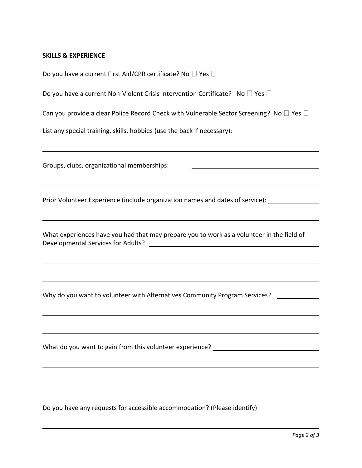## **SKILLS & EXPERIENCE**

| Do you have a current First Aid/CPR certificate? No $\Box$ Yes $\Box$                                |  |  |  |  |  |
|------------------------------------------------------------------------------------------------------|--|--|--|--|--|
| Do you have a current Non-Violent Crisis Intervention Certificate? No $\square$ Yes $\square$        |  |  |  |  |  |
| Can you provide a clear Police Record Check with Vulnerable Sector Screening? No $\Box$ Yes $\Box$   |  |  |  |  |  |
| List any special training, skills, hobbies (use the back if necessary): ____________________________ |  |  |  |  |  |
|                                                                                                      |  |  |  |  |  |
| Groups, clubs, organizational memberships:                                                           |  |  |  |  |  |
|                                                                                                      |  |  |  |  |  |
| Prior Volunteer Experience (include organization names and dates of service): _____________________  |  |  |  |  |  |
|                                                                                                      |  |  |  |  |  |
| What experiences have you had that may prepare you to work as a volunteer in the field of            |  |  |  |  |  |
|                                                                                                      |  |  |  |  |  |
|                                                                                                      |  |  |  |  |  |
| Why do you want to volunteer with Alternatives Community Program Services?                           |  |  |  |  |  |
|                                                                                                      |  |  |  |  |  |
|                                                                                                      |  |  |  |  |  |
| What do you want to gain from this volunteer experience? _______________________                     |  |  |  |  |  |
|                                                                                                      |  |  |  |  |  |
|                                                                                                      |  |  |  |  |  |
|                                                                                                      |  |  |  |  |  |

Do you have any requests for accessible accommodation? (Please identify)